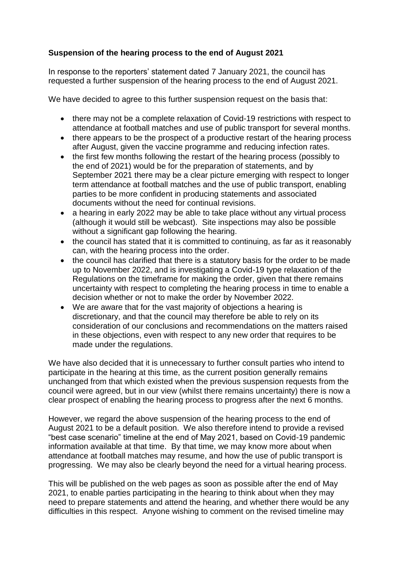## **Suspension of the hearing process to the end of August 2021**

In response to the reporters' statement dated 7 January 2021, the council has requested a further suspension of the hearing process to the end of August 2021.

We have decided to agree to this further suspension request on the basis that:

- there may not be a complete relaxation of Covid-19 restrictions with respect to attendance at football matches and use of public transport for several months.
- there appears to be the prospect of a productive restart of the hearing process after August, given the vaccine programme and reducing infection rates.
- the first few months following the restart of the hearing process (possibly to the end of 2021) would be for the preparation of statements, and by September 2021 there may be a clear picture emerging with respect to longer term attendance at football matches and the use of public transport, enabling parties to be more confident in producing statements and associated documents without the need for continual revisions.
- a hearing in early 2022 may be able to take place without any virtual process (although it would still be webcast). Site inspections may also be possible without a significant gap following the hearing.
- the council has stated that it is committed to continuing, as far as it reasonably can, with the hearing process into the order.
- the council has clarified that there is a statutory basis for the order to be made up to November 2022, and is investigating a Covid-19 type relaxation of the Regulations on the timeframe for making the order, given that there remains uncertainty with respect to completing the hearing process in time to enable a decision whether or not to make the order by November 2022.
- We are aware that for the vast majority of objections a hearing is discretionary, and that the council may therefore be able to rely on its consideration of our conclusions and recommendations on the matters raised in these objections, even with respect to any new order that requires to be made under the regulations.

We have also decided that it is unnecessary to further consult parties who intend to participate in the hearing at this time, as the current position generally remains unchanged from that which existed when the previous suspension requests from the council were agreed, but in our view (whilst there remains uncertainty) there is now a clear prospect of enabling the hearing process to progress after the next 6 months.

However, we regard the above suspension of the hearing process to the end of August 2021 to be a default position. We also therefore intend to provide a revised "best case scenario" timeline at the end of May 2021, based on Covid-19 pandemic information available at that time. By that time, we may know more about when attendance at football matches may resume, and how the use of public transport is progressing. We may also be clearly beyond the need for a virtual hearing process.

This will be published on the web pages as soon as possible after the end of May 2021, to enable parties participating in the hearing to think about when they may need to prepare statements and attend the hearing, and whether there would be any difficulties in this respect. Anyone wishing to comment on the revised timeline may